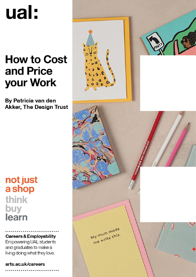ual:

# **How to Cost** and Price your Work

By Patricia van den **Akker, The Design Trust** 

not just<br>a shop think buy learn

**Careers & Employability** Empowering UAL students and graduates to make a living doing what they love.

arts.ac.uk/careers



My mum made W mum maus.<br>me write this.

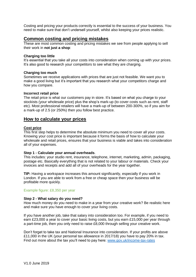Costing and pricing your products correctly is essential to the success of your business. You need to make sure that don't undersell yourself, whilst also keeping your prices realistic.

# **Common costing and pricing mistakes**

These are most common costing and pricing mistakes we see from people applying to sell their work in **not just a shop**:

## **Charging too little**

It's essential that you take all your costs into consideration when coming up with your prices. It's also good to research your competitors to see what they are charging.

## **Charging too much**

Sometimes we receive applications with prices that are just not feasible. We want you to make a good living but it's important that you research what your competitors charge and how you compare.

## **Incorrect retail price**

The retail price is what our customers pay in store. It's based on what you charge to your stockists (your wholesale price) plus the shop's mark-up (to cover costs such as rent, staff etc). Most professional retailers will have a mark-up of between 200-300%, so if you aim for a mark-up of 2.5 (or 250%) then you follow best practice.

# **How to calculate your prices**

## **Cost price**

This first step helps to determine the absolute minimum you need to cover all your costs. Knowing your cost price is important because it forms the basis of how to calculate your wholesale and retail prices, ensures that your business is viable and takes into consideration all of your expenses.

# **Step 1 - Calculate your annual overheads**.

This includes: your studio rent, insurance, telephone, internet, marketing, admin, packaging, postage etc. Basically everything that is not related to your labour or materials. Check your invoices and receipts and add all of your overheads for the year together.

**TIP:** Having a workspace increases this amount significantly, especially if you work in London. If you are able to work from a free or cheap space then your business will be profitable more quickly.

#### Example figure: £8,350 per year

#### **Step 2 - What salary do you need?**

How much money do you need to make in a year from your creative work? Be realistic here and make sure you have enough to cover your living costs.

If you have another job, take that salary into consideration too. For example, if you need to earn £23,000 a year to cover your basic living costs, but you earn £15,000 per year through a part-time job, then you only need to raise £8,000 through selling your creative work.

Don't forget to take tax and National Insurance into consideration. If your profits are above £11,000 in the UK (your personal tax allowance in 2017/18) you have to pay 20% in tax. Find out more about the tax you'll need to pay here: [www.gov.uk/income-tax-rates](http://www.gov.uk/income-tax-rates)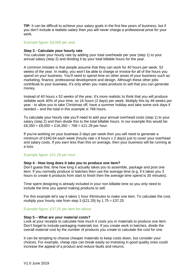**TIP:** It can be difficult to achieve your salary goals in the first few years of business, but if you don't include a realistic salary then you will never charge a professional price for your work.

#### Example figure: £8,000 per year

#### **Step 3 - Calculate your hourly rate**

You calculate your hourly rate by adding your total overheads per year (step 1) to your annual salary (step 2) and dividing it by your total billable hours for the year.

A common mistake is that people assume that they can work for 40 hours per week, 52 weeks of the year. In reality, you won't be able to charge or invoice for all of the hours you spend on your business. You'll need to spend time on other areas of your business such as marketing, finance, professional development and design. Although these other jobs contribute to your business, it's only when you make products to sell that you can generate money.

Instead of 40 hours x 52 weeks of the year, it's more realistic to think that you will produce sellable work 40% of your time, so 16 hours (2 days) per week. Multiply this by 48 weeks per year - to allow you to take Christmas off, have a summer holiday and take some sick days if needed – and the total in this example is 768 hours.

To calculate your hourly rate you'll need to add your annual overhead costs (step 1) to your salary (step 2) and then divide this to the total billable hours. In our example this would be: £8,350 + £8,000 = £16,350  $\div$  768 = £21.29 per hour.

If you're working on your business 2-days per week then you will need to generate a minimum of £340.64 each week (hourly rate x 8 hours x 2 days) just to cover your overhead and salary costs. If you earn less than this on average, then your business will be running at a loss.

#### Example figure: £21.29 per hour

#### **Step 4 - How long does it take you to produce one item?**

Don't guess this; time how long it actually takes you to assemble, package and post one item. If you normally produce in batches then use the average time (e.g. if it takes you 3 hours to create 6 products from start to finish then the average time spend is 30 minutes).

Time spent designing is already included in your non-billable time so you only need to include the time you spend making products to sell.

For this example let's say it takes 1 hour 45minutes to make one item. To calculate the cost, multiply your hourly rate from step 3 (£21.29) by  $1.75 = \text{\textsterling}37.25$ 

Example figure: £37.25 per item for labour

#### **Step 5 – What are your material costs?**

Look at your receipts to calculate how much it costs you in materials to produce one item. Don't forget to include packaging materials too. If you create work in batches, divide the overall material cost by the number of products you create to calculate the cost for one.

It can be tempting to choose cheaper materials to keep costs down, but consider your choices. For example, cheap zips can break easily so investing in good quality ones could increase the appeal of a product and reduce faults and returns.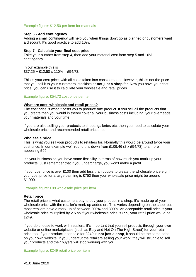#### Example figure: £12.50 per item for materials

#### **Step 6 - Add contingency**

Adding a small contingency will help you when things don't go as planned or customers want a discount. It's good practice to add 10%.

#### **Step 7 - Calculate your final cost price**

Take your number from step 4, then add your material cost from step 5 and 10% contingency.

In our example this is  $£37.25 + £12.50 \times 110\% = £54.73.$ 

This is your cost price, with all costs taken into consideration. However, this is not the price that you sell it to your customers, stockists or **not just a shop** for. Now you have your cost price, you can use it to calculate your wholesale and retail prices.

#### Example figure: £54.73 cost price per item

#### **What are cost, wholesale and retail prices?**

The cost price is what it costs you to produce one product. If you sell all the products that you create then you would in theory cover all your business costs including: your overheads, your materials and your time.

If you are also selling your products to shops, galleries etc. then you need to calculate your wholesale price and recommended retail prices too.

#### **Wholesale price**

This is what you sell your products to retailers for. Normally this would be around twice your cost price. In our example we'll round this down from £109.46 (2 x £54.73) to a more appealing £99.

It's your business so you have some flexibility in terms of how much you mark-up your products. Just remember that if you undercharge, you won't make a profit.

If your cost price is over £100 then add less than double to create the wholesale price e.g. if your cost price for a large painting is £750 then your wholesale price might be around £1,000.

Example figure: £99 wholesale price per item

#### **Retail price**

The retail price is what customers pay to buy your product in a shop. It's made up of your wholesale price with the retailer's mark-up added on. This varies depending on the shop, but most retailers have a mark-up of between 200% and 300%. An acceptable retail price is your wholesale price multiplied by 2.5 so if your wholesale price is £99, your retail price would be £249.

If you do choose to work with retailers, it's important that you sell products through your own website or online marketplaces (such as Etsy and Not On The High Street) for your retail price too. If your product is for sale for £249 in **not just a shop**, it should be the same price on your own website. If you undercut the retailers selling your work, they will struggle to sell your products and their buyers will stop working with you.

Example figure: £249 retail price per item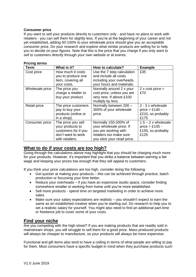# **Consumer price**

If you want to sell your products directly to customers only - and have no plans to work with retailers - you can sell them for slightly less. If you're at the beginning of your career and not yet established, adding 50-100% to your wholesale price should give you an acceptable consumer price. Do your research and explore what similar products are selling for to help you to decide on your figures. Note that this is the price that you charge if you only want to sell to customers directly through your own website or at events.

# **Pricing terms**

| <b>Term</b>         | What is it?          | How to calculate?            | <b>Example</b>       |
|---------------------|----------------------|------------------------------|----------------------|
| Cost price          | How much it costs    | Use the 7 step calculation   | £35                  |
|                     | you to produce one   | and include all costs        |                      |
|                     | item, covering all   | including your overheads,    |                      |
|                     | your costs.          | your hours and materials.    |                      |
| Wholesale price     | The price you        | Normally around 2 x your     | $2x \cos t$ price =  |
|                     | charge a retailer to | cost price, unless you are   | £70                  |
|                     | buy your product.    | very new. If above £100      |                      |
|                     |                      | multiply by less.            |                      |
| <b>Retail price</b> | The price customers  | Normally between 200 -       | 2 - 3 x wholesale    |
|                     | pay to buy your      | 300% of your wholesale       | price $=$ £140 -     |
|                     | products (online or  | price.                       | £210, so probably    |
|                     | in a shop).          |                              | £175                 |
| Consumer price      | The price you sell   | Normally 150-200% of         | $1.5 - 2x$ wholesale |
|                     | your products to     | your wholesale price. If     | price = £105 -       |
|                     | customers for if you | you are working with         | £150, so probably    |
|                     | don't want to work   | retailers too make sure      | £125                 |
|                     | with retailers.      | you stick your retail price. |                      |

# **What to do if your costs are too high?**

Going through the calculations above may highlight that you should be charging much more for your products. However, it's important that you strike a balance between earning a fair wage and keeping your prices low enough that they will appeal to customers.

If you think your price calculations are too high, consider doing the following:

- Get quicker at making your products this can be achieved through practice, batch production or focussing your time better.
- Reduce your overheads if you have an expensive studio space, consider finding somewhere smaller or working from home until you're more established.
- Sell more products spend time on targeted marketing in order to achieve more sales.
- Make sure your salary expectations are realistic you shouldn't expect to earn the same as an established creative when you're starting out. Do research to help you to set a realistic salary for yourself. You might also need to find an additional part-time or freelance job to cover some of your costs.

# **Find your niche**

Are you competing with the high street? If you are making products that are readily sold in mainstream shops, you will struggle to sell them for a good price. Mass produced products will always be cheaper to manufacture, so your products will always be more expensive.

Functional and gift items also tend to have a ceiling in terms of what people are willing to pay for them. Most consumers have a specific budget in mind when they purchase products such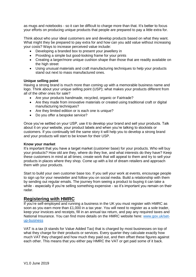as mugs and notebooks - so it can be difficult to charge more than that. It's better to focus your efforts on producing unique products that people are prepared to pay a little extra for.

Think about who your ideal customers are and develop products based on what they want. What might they be prepared to pay extra for and how can you add value without increasing your costs? Ways to increase perceived value include:

- Developing a branded box to present your jewellery in
- Providing a simple but good-looking frame for your prints
- Creating a larger/more unique cushion shape than those that are readily available on the high street
- Using unusual materials and craft manufacturing techniques to help your products stand out next to mass manufactured ones.

## **Unique selling point**

Having a strong brand is much more than coming up with a memorable business name and logo. Think about your unique selling point (USP); what makes your products different from all of the other ones for sale?

- Are your products handmade, recycled, organic or Fairtrade?
- Are they made from innovative materials or created using traditional craft or digital manufacturing techniques?
- Are they limited edition or is each one is unique?
- Do you offer a bespoke service?

Once you've settled on your USP, use it to develop your brand and sell your products. Talk about it on your website, your product labels and when you're talking to stockists or customers. If you continually tell the same story it will help you to develop a strong brand and your products will start to be known for their USP.

#### **Know your market**

It's important that you have a target market (customer base) for your products. Who will buy your products? How old are they, where do they live, and what interests do they have? Keep these customers in mind at all times; create work that will appeal to them and try to sell your products in places where they shop. Come up with a list of dream retailers and approach them with your products.

Start to build your own customer base too. If you sell your work at events, encourage people to sign up for your newsletter and follow you on social media. Build a relationship with them by sending out regular emails. The journey from seeing a product to buying it can take a while - especially if you're selling something expensive - so it's important you remain on their radar.

# **Registering with HMRC**

If you're self-employed and running a business in the UK you must register with HMRC as soon as you earn more than £1,000 in a tax year. You will need to register as a sole trader, keep your invoices and receipts, fill in an annual tax return, and pay any required taxes and National Insurance. You can find more details on the HMRC website here: [www.gov.uk/set](http://www.gov.uk/set-up-business)[up-business](http://www.gov.uk/set-up-business)

VAT is a tax (it stands for Value Added Tax) that is charged by most businesses on top of what they charge for their products or services. Every quarter they calculate exactly how much VAT they charged and how much they paid out, and then offset these figures against each other. This means that you either pay HMRC the VAT or get paid some of it back.